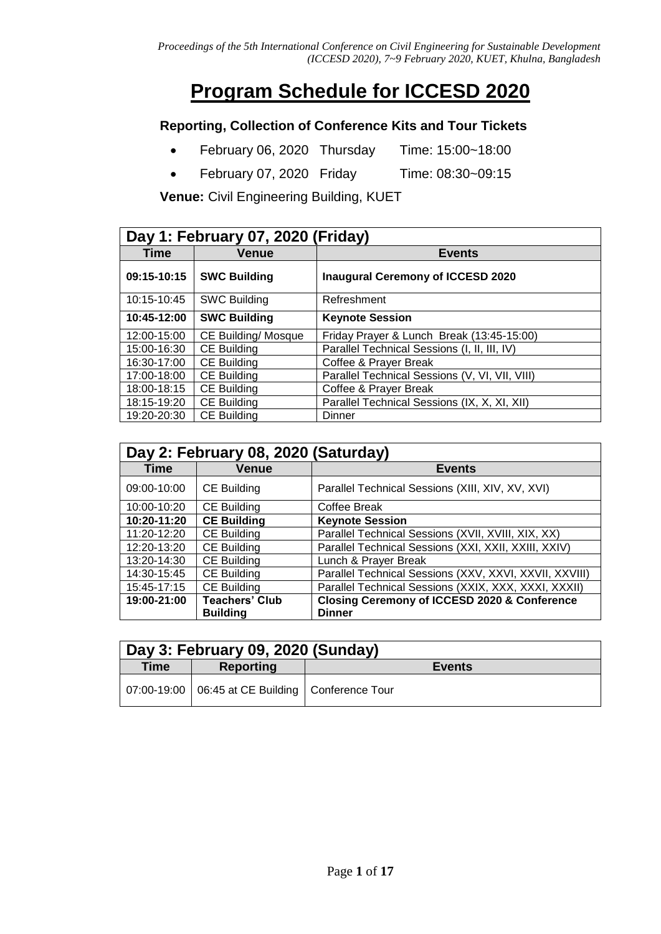# **Program Schedule for ICCESD 2020**

### **Reporting, Collection of Conference Kits and Tour Tickets**

- February 06, 2020 Thursday Time: 15:00~18:00
- February 07, 2020 Friday Time: 08:30~09:15

**Venue:** Civil Engineering Building, KUET

|             | Day 1: February 07, 2020 (Friday) |                                                |  |  |
|-------------|-----------------------------------|------------------------------------------------|--|--|
| Time        | <b>Venue</b>                      | <b>Events</b>                                  |  |  |
| 09:15-10:15 | <b>SWC Building</b>               | <b>Inaugural Ceremony of ICCESD 2020</b>       |  |  |
| 10:15-10:45 | <b>SWC Building</b>               | Refreshment                                    |  |  |
| 10:45-12:00 | <b>SWC Building</b>               | <b>Keynote Session</b>                         |  |  |
| 12:00-15:00 | CE Building/ Mosque               | Friday Prayer & Lunch Break (13:45-15:00)      |  |  |
| 15:00-16:30 | <b>CE Building</b>                | Parallel Technical Sessions (I, II, III, IV)   |  |  |
| 16:30-17:00 | <b>CE Building</b>                | Coffee & Prayer Break                          |  |  |
| 17:00-18:00 | <b>CE Building</b>                | Parallel Technical Sessions (V, VI, VII, VIII) |  |  |
| 18:00-18:15 | <b>CE Building</b>                | Coffee & Prayer Break                          |  |  |
| 18:15-19:20 | <b>CE Building</b>                | Parallel Technical Sessions (IX, X, XI, XII)   |  |  |
| 19:20-20:30 | <b>CE Building</b>                | <b>Dinner</b>                                  |  |  |

|             | Day 2: February 08, 2020 (Saturday) |                                                         |  |
|-------------|-------------------------------------|---------------------------------------------------------|--|
| <b>Time</b> | <b>Venue</b>                        | <b>Events</b>                                           |  |
| 09:00-10:00 | CE Building                         | Parallel Technical Sessions (XIII, XIV, XV, XVI)        |  |
| 10:00-10:20 | CE Building                         | Coffee Break                                            |  |
| 10:20-11:20 | <b>CE Building</b>                  | <b>Keynote Session</b>                                  |  |
| 11:20-12:20 | <b>CE Building</b>                  | Parallel Technical Sessions (XVII, XVIII, XIX, XX)      |  |
| 12:20-13:20 | <b>CE Building</b>                  | Parallel Technical Sessions (XXI, XXII, XXIII, XXIV)    |  |
| 13:20-14:30 | <b>CE Building</b>                  | Lunch & Prayer Break                                    |  |
| 14:30-15:45 | <b>CE Building</b>                  | Parallel Technical Sessions (XXV, XXVI, XXVII, XXVIII)  |  |
| 15:45-17:15 | <b>CE Building</b>                  | Parallel Technical Sessions (XXIX, XXX, XXXI, XXXII)    |  |
| 19:00-21:00 | <b>Teachers' Club</b>               | <b>Closing Ceremony of ICCESD 2020 &amp; Conference</b> |  |
|             | <b>Building</b>                     | <b>Dinner</b>                                           |  |

| Day 3: February 09, 2020 (Sunday) |                                                      |               |  |
|-----------------------------------|------------------------------------------------------|---------------|--|
| <b>Time</b>                       | Reporting                                            | <b>Events</b> |  |
|                                   | 07:00-19:00   06:45 at CE Building   Conference Tour |               |  |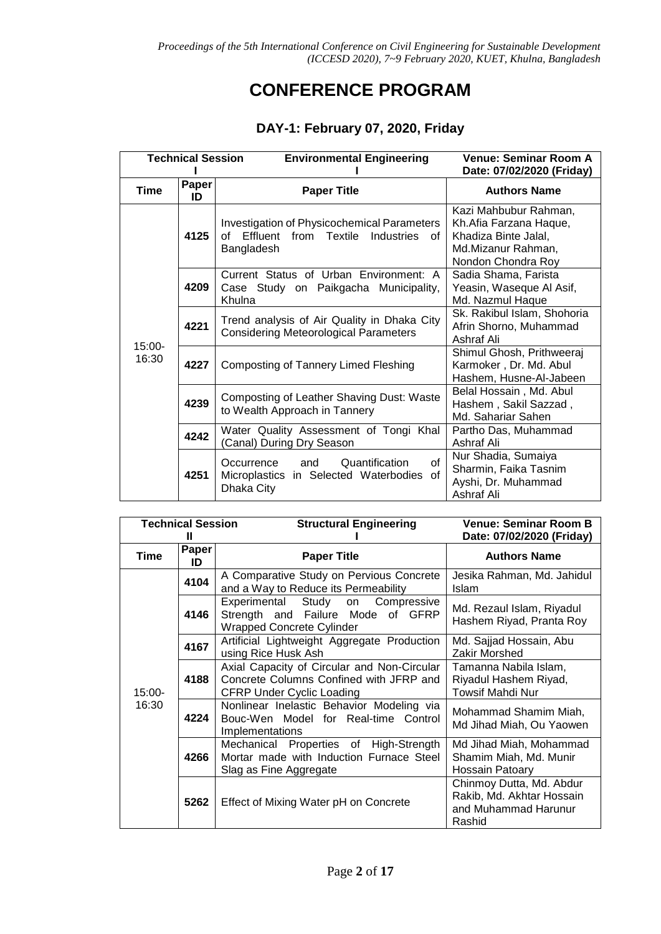## **CONFERENCE PROGRAM**

### **DAY-1: February 07, 2020, Friday**

| <b>Technical Session</b> |             | <b>Environmental Engineering</b>                                                                                          | <b>Venue: Seminar Room A</b><br>Date: 07/02/2020 (Friday)                                                           |
|--------------------------|-------------|---------------------------------------------------------------------------------------------------------------------------|---------------------------------------------------------------------------------------------------------------------|
| <b>Time</b>              | Paper<br>ID | <b>Paper Title</b>                                                                                                        | <b>Authors Name</b>                                                                                                 |
|                          | 4125        | <b>Investigation of Physicochemical Parameters</b><br>Effluent<br>from<br>Textile<br>Industries<br>of<br>οf<br>Bangladesh | Kazi Mahbubur Rahman,<br>Kh.Afia Farzana Haque,<br>Khadiza Binte Jalal,<br>Md.Mizanur Rahman,<br>Nondon Chondra Roy |
|                          | 4209        | Current Status of Urban Environment: A<br>Case Study on Paikgacha Municipality,<br>Khulna                                 | Sadia Shama, Farista<br>Yeasin, Waseque Al Asif,<br>Md. Nazmul Haque                                                |
|                          | 4221        | Trend analysis of Air Quality in Dhaka City<br><b>Considering Meteorological Parameters</b>                               | Sk. Rakibul Islam, Shohoria<br>Afrin Shorno, Muhammad<br>Ashraf Ali                                                 |
| 15:00-<br>16:30          | 4227        | <b>Composting of Tannery Limed Fleshing</b>                                                                               | Shimul Ghosh, Prithweeraj<br>Karmoker, Dr. Md. Abul<br>Hashem, Husne-Al-Jabeen                                      |
|                          | 4239        | Composting of Leather Shaving Dust: Waste<br>to Wealth Approach in Tannery                                                | Belal Hossain, Md. Abul<br>Hashem, Sakil Sazzad,<br>Md. Sahariar Sahen                                              |
|                          | 4242        | Water Quality Assessment of Tongi Khal<br>Canal) During Dry Season                                                        | Partho Das, Muhammad<br>Ashraf Ali                                                                                  |
|                          | 4251        | Quantification<br>and<br>οf<br>Occurrence<br>Microplastics in Selected Waterbodies of<br>Dhaka City                       | Nur Shadia, Sumaiya<br>Sharmin, Faika Tasnim<br>Ayshi, Dr. Muhammad<br>Ashraf Ali                                   |

| <b>Technical Session</b> |             | <b>Structural Engineering</b>                                                                                              | <b>Venue: Seminar Room B</b><br>Date: 07/02/2020 (Friday)                               |
|--------------------------|-------------|----------------------------------------------------------------------------------------------------------------------------|-----------------------------------------------------------------------------------------|
| Time                     | Paper<br>ID | <b>Paper Title</b>                                                                                                         | <b>Authors Name</b>                                                                     |
|                          | 4104        | A Comparative Study on Pervious Concrete<br>and a Way to Reduce its Permeability                                           | Jesika Rahman, Md. Jahidul<br><b>Islam</b>                                              |
|                          | 4146        | Experimental Study on<br>Compressive<br>Strength and Failure Mode of GFRP<br><b>Wrapped Concrete Cylinder</b>              | Md. Rezaul Islam, Riyadul<br>Hashem Riyad, Pranta Roy                                   |
|                          | 4167        | Artificial Lightweight Aggregate Production<br>using Rice Husk Ash                                                         | Md. Sajjad Hossain, Abu<br>Zakir Morshed                                                |
| $15:00 -$<br>16:30       | 4188        | Axial Capacity of Circular and Non-Circular<br>Concrete Columns Confined with JFRP and<br><b>CFRP Under Cyclic Loading</b> | Tamanna Nabila Islam,<br>Riyadul Hashem Riyad,<br><b>Towsif Mahdi Nur</b>               |
|                          | 4224        | Nonlinear Inelastic Behavior Modeling via<br>Bouc-Wen Model for Real-time Control<br>Implementations                       | Mohammad Shamim Miah,<br>Md Jihad Miah, Ou Yaowen                                       |
|                          | 4266        | Mechanical Properties of High-Strength<br>Mortar made with Induction Furnace Steel<br>Slag as Fine Aggregate               | Md Jihad Miah, Mohammad<br>Shamim Miah, Md. Munir<br>Hossain Patoary                    |
|                          | 5262        | Effect of Mixing Water pH on Concrete                                                                                      | Chinmoy Dutta, Md. Abdur<br>Rakib, Md. Akhtar Hossain<br>and Muhammad Harunur<br>Rashid |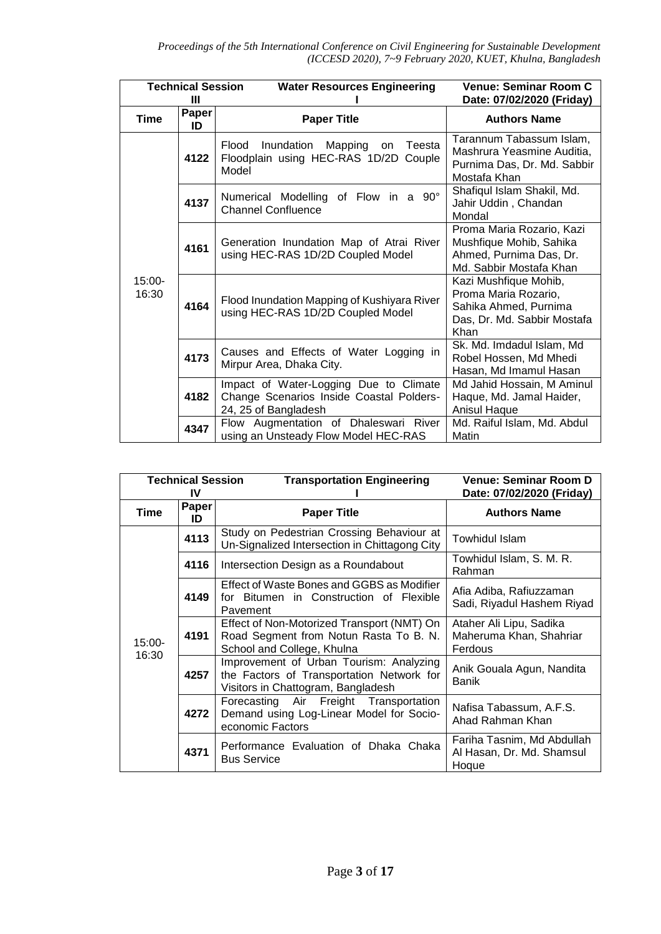| <b>Technical Session</b><br>Ш |                    | <b>Water Resources Engineering</b>                                                                         | <b>Venue: Seminar Room C</b><br>Date: 07/02/2020 (Friday)                                                     |
|-------------------------------|--------------------|------------------------------------------------------------------------------------------------------------|---------------------------------------------------------------------------------------------------------------|
| Time                          | <b>Paper</b><br>ID | <b>Paper Title</b>                                                                                         | <b>Authors Name</b>                                                                                           |
|                               | 4122               | Inundation<br>Mapping<br>Flood<br>Teesta<br>on<br>Floodplain using HEC-RAS 1D/2D Couple<br>Model           | Tarannum Tabassum Islam,<br>Mashrura Yeasmine Auditia,<br>Purnima Das, Dr. Md. Sabbir<br>Mostafa Khan         |
|                               | 4137               | Numerical Modelling of Flow in a 90°<br><b>Channel Confluence</b>                                          | Shafiqul Islam Shakil, Md.<br>Jahir Uddin, Chandan<br>Mondal                                                  |
| $15:00-$<br>16:30             | 4161               | Generation Inundation Map of Atrai River<br>using HEC-RAS 1D/2D Coupled Model                              | Proma Maria Rozario, Kazi<br>Mushfique Mohib, Sahika<br>Ahmed, Purnima Das, Dr.<br>Md. Sabbir Mostafa Khan    |
|                               | 4164               | Flood Inundation Mapping of Kushiyara River<br>using HEC-RAS 1D/2D Coupled Model                           | Kazi Mushfique Mohib,<br>Proma Maria Rozario,<br>Sahika Ahmed, Purnima<br>Das, Dr. Md. Sabbir Mostafa<br>Khan |
|                               | 4173               | Causes and Effects of Water Logging in<br>Mirpur Area, Dhaka City.                                         | Sk. Md. Imdadul Islam, Md<br>Robel Hossen, Md Mhedi<br>Hasan, Md Imamul Hasan                                 |
|                               | 4182               | Impact of Water-Logging Due to Climate<br>Change Scenarios Inside Coastal Polders-<br>24, 25 of Bangladesh | Md Jahid Hossain, M Aminul<br>Haque, Md. Jamal Haider,<br>Anisul Haque                                        |
|                               | 4347               | Flow Augmentation of Dhaleswari River<br>using an Unsteady Flow Model HEC-RAS                              | Md. Raiful Islam, Md. Abdul<br>Matin                                                                          |

| <b>Technical Session</b> |             | <b>Transportation Engineering</b>                                                                                          | Venue: Seminar Room D                                            |
|--------------------------|-------------|----------------------------------------------------------------------------------------------------------------------------|------------------------------------------------------------------|
|                          | IV          |                                                                                                                            | Date: 07/02/2020 (Friday)                                        |
| Time                     | Paper<br>ID | <b>Paper Title</b>                                                                                                         | <b>Authors Name</b>                                              |
|                          | 4113        | Study on Pedestrian Crossing Behaviour at<br>Un-Signalized Intersection in Chittagong City                                 | Towhidul Islam                                                   |
|                          | 4116        | Intersection Design as a Roundabout                                                                                        | Towhidul Islam, S. M. R.<br>Rahman                               |
|                          | 4149        | Effect of Waste Bones and GGBS as Modifier<br>for Bitumen in Construction of Flexible<br>Pavement                          | Afia Adiba, Rafiuzzaman<br>Sadi, Riyadul Hashem Riyad            |
| $15:00 -$<br>16:30       | 4191        | Effect of Non-Motorized Transport (NMT) On<br>Road Segment from Notun Rasta To B. N.<br>School and College, Khulna         | Ataher Ali Lipu, Sadika<br>Maheruma Khan, Shahriar<br>Ferdous    |
|                          | 4257        | Improvement of Urban Tourism: Analyzing<br>the Factors of Transportation Network for<br>Visitors in Chattogram, Bangladesh | Anik Gouala Agun, Nandita<br>Banik                               |
|                          | 4272        | Forecasting Air Freight Transportation<br>Demand using Log-Linear Model for Socio-<br>economic Factors                     | Nafisa Tabassum, A.F.S.<br>Ahad Rahman Khan                      |
|                          | 4371        | Performance Evaluation of Dhaka Chaka<br><b>Bus Service</b>                                                                | Fariha Tasnim, Md Abdullah<br>Al Hasan, Dr. Md. Shamsul<br>Hoque |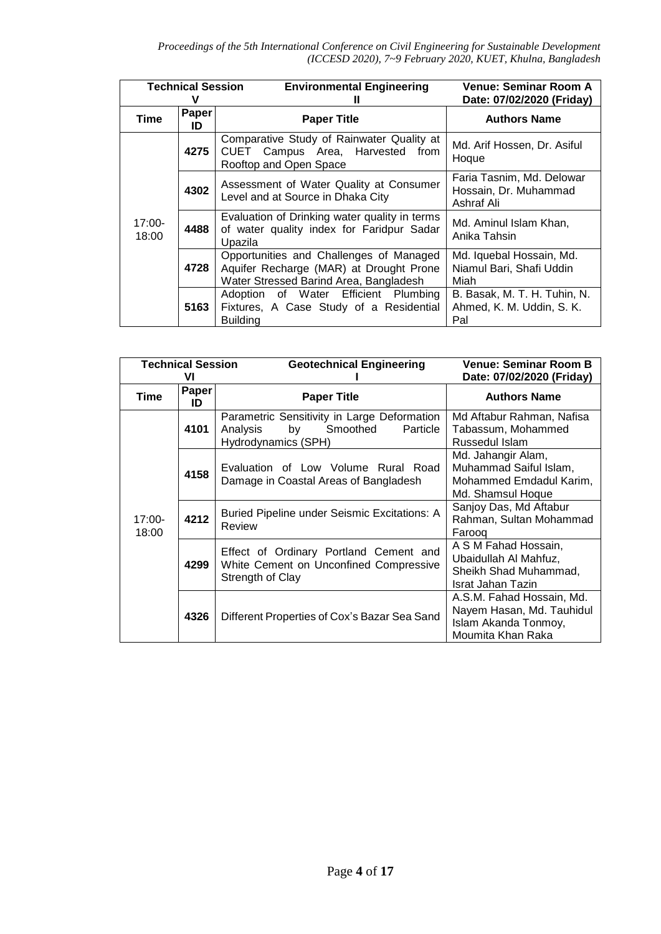| <b>Technical Session</b> |             | <b>Environmental Engineering</b><br>Ш                                                                                        | <b>Venue: Seminar Room A</b><br>Date: 07/02/2020 (Friday)        |
|--------------------------|-------------|------------------------------------------------------------------------------------------------------------------------------|------------------------------------------------------------------|
| Time                     | Paper<br>ID | <b>Paper Title</b>                                                                                                           | <b>Authors Name</b>                                              |
| $17:00-$<br>18:00        | 4275        | Comparative Study of Rainwater Quality at<br>CUET Campus Area, Harvested from<br>Rooftop and Open Space                      | Md. Arif Hossen, Dr. Asiful<br>Hoque                             |
|                          | 4302        | Assessment of Water Quality at Consumer<br>Level and at Source in Dhaka City                                                 | Faria Tasnim, Md. Delowar<br>Hossain, Dr. Muhammad<br>Ashraf Ali |
|                          | 4488        | Evaluation of Drinking water quality in terms<br>of water quality index for Faridpur Sadar<br>Upazila                        | Md. Aminul Islam Khan,<br>Anika Tahsin                           |
|                          | 4728        | Opportunities and Challenges of Managed<br>Aquifer Recharge (MAR) at Drought Prone<br>Water Stressed Barind Area, Bangladesh | Md. Iquebal Hossain, Md.<br>Niamul Bari, Shafi Uddin<br>Miah     |
|                          | 5163        | Adoption of Water Efficient Plumbing<br>Fixtures, A Case Study of a Residential<br><b>Building</b>                           | B. Basak, M. T. H. Tuhin, N.<br>Ahmed, K. M. Uddin, S. K.<br>Pal |

| <b>Technical Session</b> |             | <b>Geotechnical Engineering</b>                                                                              | <b>Venue: Seminar Room B</b>                                                                        |
|--------------------------|-------------|--------------------------------------------------------------------------------------------------------------|-----------------------------------------------------------------------------------------------------|
|                          | VI          |                                                                                                              | Date: 07/02/2020 (Friday)                                                                           |
| <b>Time</b>              | Paper<br>ID | <b>Paper Title</b>                                                                                           | <b>Authors Name</b>                                                                                 |
| $17:00 -$<br>18:00       | 4101        | Parametric Sensitivity in Large Deformation<br>Analysis<br>by<br>Smoothed<br>Particle<br>Hydrodynamics (SPH) | Md Aftabur Rahman, Nafisa<br>Tabassum, Mohammed<br>Russedul Islam                                   |
|                          | 4158        | Evaluation of Low Volume Rural Road<br>Damage in Coastal Areas of Bangladesh                                 | Md. Jahangir Alam,<br>Muhammad Saiful Islam,<br>Mohammed Emdadul Karim,<br>Md. Shamsul Hoque        |
|                          | 4212        | Buried Pipeline under Seismic Excitations: A<br>Review                                                       | Sanjoy Das, Md Aftabur<br>Rahman, Sultan Mohammad<br>Faroog                                         |
|                          | 4299        | Effect of Ordinary Portland Cement and<br>White Cement on Unconfined Compressive<br>Strength of Clay         | A S M Fahad Hossain,<br>Ubaidullah Al Mahfuz,<br>Sheikh Shad Muhammad,<br>Israt Jahan Tazin         |
|                          | 4326        | Different Properties of Cox's Bazar Sea Sand                                                                 | A.S.M. Fahad Hossain, Md.<br>Nayem Hasan, Md. Tauhidul<br>Islam Akanda Tonmoy,<br>Moumita Khan Raka |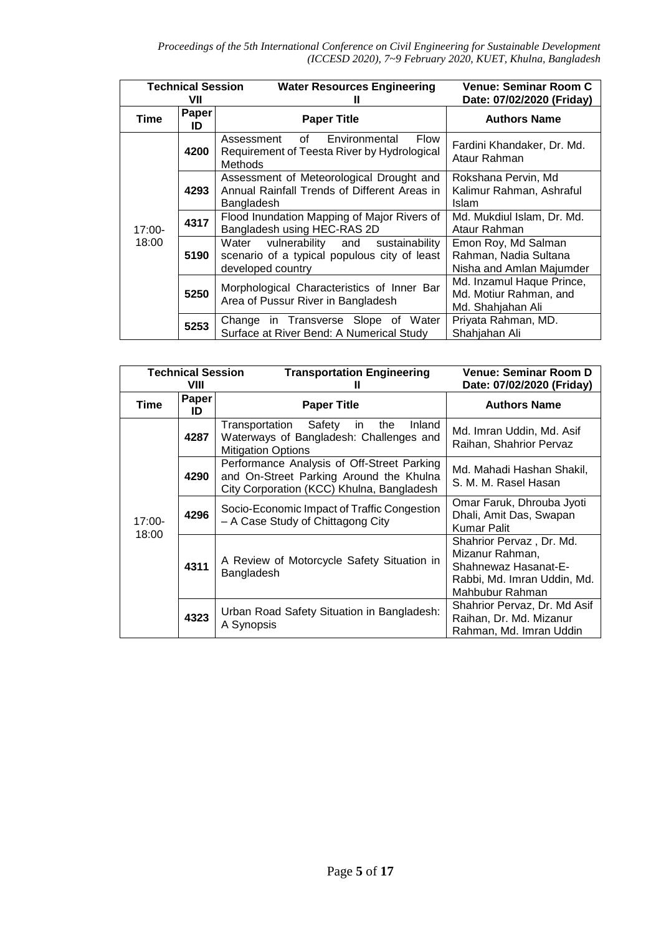| <b>Technical Session</b><br>VII |             | <b>Water Resources Engineering</b>                                                                                | <b>Venue: Seminar Room C</b><br>Date: 07/02/2020 (Friday)                |
|---------------------------------|-------------|-------------------------------------------------------------------------------------------------------------------|--------------------------------------------------------------------------|
| Time                            | Paper<br>ID | <b>Paper Title</b>                                                                                                | <b>Authors Name</b>                                                      |
|                                 | 4200        | <b>Flow</b><br>of<br>Environmental<br>Assessment<br>Requirement of Teesta River by Hydrological<br><b>Methods</b> | Fardini Khandaker, Dr. Md.<br>Ataur Rahman                               |
|                                 | 4293        | Assessment of Meteorological Drought and<br>Annual Rainfall Trends of Different Areas in<br>Bangladesh            | Rokshana Pervin, Md<br>Kalimur Rahman, Ashraful<br><b>Islam</b>          |
| $17:00-$                        | 4317        | Flood Inundation Mapping of Major Rivers of<br>Bangladesh using HEC-RAS 2D                                        | Md. Mukdiul Islam, Dr. Md.<br>Ataur Rahman                               |
| 18:00                           | 5190        | vulnerability and<br>sustainability<br>Water<br>scenario of a typical populous city of least<br>developed country | Emon Roy, Md Salman<br>Rahman, Nadia Sultana<br>Nisha and Amlan Majumder |
|                                 | 5250        | Morphological Characteristics of Inner Bar<br>Area of Pussur River in Bangladesh                                  | Md. Inzamul Haque Prince,<br>Md. Motiur Rahman, and<br>Md. Shahjahan Ali |
|                                 | 5253        | Change in Transverse Slope of Water<br>Surface at River Bend: A Numerical Study                                   | Priyata Rahman, MD.<br>Shahjahan Ali                                     |

| <b>Technical Session</b><br>VIII |             | <b>Transportation Engineering</b><br>Ш                                                                                             | Venue: Seminar Room D<br>Date: 07/02/2020 (Friday)                                                                    |
|----------------------------------|-------------|------------------------------------------------------------------------------------------------------------------------------------|-----------------------------------------------------------------------------------------------------------------------|
| Time                             | Paper<br>ID | <b>Paper Title</b>                                                                                                                 | <b>Authors Name</b>                                                                                                   |
| $17:00-$<br>18:00                | 4287        | Transportation Safety<br>the<br>Inland<br>in.<br>Waterways of Bangladesh: Challenges and<br><b>Mitigation Options</b>              | Md. Imran Uddin, Md. Asif<br>Raihan, Shahrior Pervaz                                                                  |
|                                  | 4290        | Performance Analysis of Off-Street Parking<br>and On-Street Parking Around the Khulna<br>City Corporation (KCC) Khulna, Bangladesh | Md. Mahadi Hashan Shakil,<br>S. M. M. Rasel Hasan                                                                     |
|                                  | 4296        | Socio-Economic Impact of Traffic Congestion<br>- A Case Study of Chittagong City                                                   | Omar Faruk, Dhrouba Jyoti<br>Dhali, Amit Das, Swapan<br><b>Kumar Palit</b>                                            |
|                                  | 4311        | A Review of Motorcycle Safety Situation in<br>Bangladesh                                                                           | Shahrior Pervaz, Dr. Md.<br>Mizanur Rahman,<br>Shahnewaz Hasanat-E-<br>Rabbi, Md. Imran Uddin, Md.<br>Mahbubur Rahman |
|                                  | 4323        | Urban Road Safety Situation in Bangladesh:<br>A Synopsis                                                                           | Shahrior Pervaz, Dr. Md Asif<br>Raihan, Dr. Md. Mizanur<br>Rahman, Md. Imran Uddin                                    |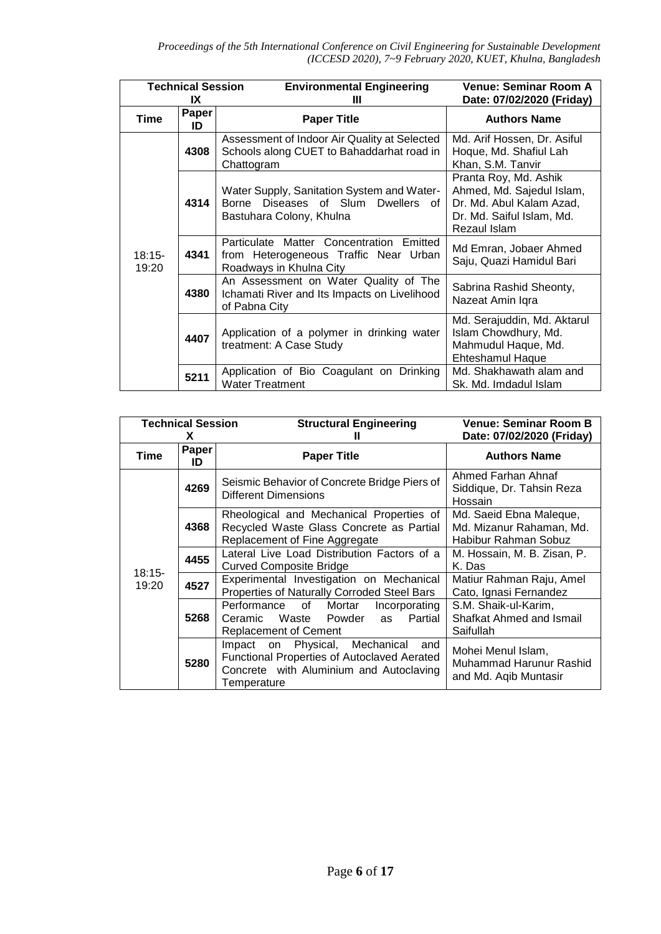| <b>Technical Session</b><br>IX |             | <b>Environmental Engineering</b><br>Ш                                                                        | <b>Venue: Seminar Room A</b><br>Date: 07/02/2020 (Friday)                                                                   |
|--------------------------------|-------------|--------------------------------------------------------------------------------------------------------------|-----------------------------------------------------------------------------------------------------------------------------|
| <b>Time</b>                    | Paper<br>ID | <b>Paper Title</b>                                                                                           | <b>Authors Name</b>                                                                                                         |
| $18:15-$<br>19:20              | 4308        | Assessment of Indoor Air Quality at Selected<br>Schools along CUET to Bahaddarhat road in<br>Chattogram      | Md. Arif Hossen, Dr. Asiful<br>Hoque, Md. Shafiul Lah<br>Khan, S.M. Tanvir                                                  |
|                                | 4314        | Water Supply, Sanitation System and Water-<br>Borne Diseases of Slum Dwellers of<br>Bastuhara Colony, Khulna | Pranta Roy, Md. Ashik<br>Ahmed, Md. Sajedul Islam,<br>Dr. Md. Abul Kalam Azad,<br>Dr. Md. Saiful Islam, Md.<br>Rezaul Islam |
|                                | 4341        | Particulate Matter Concentration Emitted<br>from Heterogeneous Traffic Near Urban<br>Roadways in Khulna City | Md Emran, Jobaer Ahmed<br>Saju, Quazi Hamidul Bari                                                                          |
|                                | 4380        | An Assessment on Water Quality of The<br>Ichamati River and Its Impacts on Livelihood<br>of Pabna City       | Sabrina Rashid Sheonty,<br>Nazeat Amin Iqra                                                                                 |
|                                | 4407        | Application of a polymer in drinking water<br>treatment: A Case Study                                        | Md. Serajuddin, Md. Aktarul<br>Islam Chowdhury, Md.<br>Mahmudul Haque, Md.<br><b>Ehteshamul Haque</b>                       |
|                                | 5211        | Application of Bio Coagulant on Drinking<br><b>Water Treatment</b>                                           | Md. Shakhawath alam and<br>Sk. Md. Imdadul Islam                                                                            |

| <b>Technical Session</b><br>x |             | <b>Structural Engineering</b>                                                                                                               | <b>Venue: Seminar Room B</b><br>Date: 07/02/2020 (Friday)                   |
|-------------------------------|-------------|---------------------------------------------------------------------------------------------------------------------------------------------|-----------------------------------------------------------------------------|
| Time                          | Paper<br>ID | <b>Paper Title</b>                                                                                                                          | <b>Authors Name</b>                                                         |
|                               | 4269        | Seismic Behavior of Concrete Bridge Piers of<br><b>Different Dimensions</b>                                                                 | Ahmed Farhan Ahnaf<br>Siddique, Dr. Tahsin Reza<br>Hossain                  |
|                               | 4368        | Rheological and Mechanical Properties of<br>Recycled Waste Glass Concrete as Partial<br>Replacement of Fine Aggregate                       | Md. Saeid Ebna Maleque,<br>Md. Mizanur Rahaman, Md.<br>Habibur Rahman Sobuz |
|                               | 4455        | Lateral Live Load Distribution Factors of a<br><b>Curved Composite Bridge</b>                                                               | M. Hossain, M. B. Zisan, P.<br>K. Das                                       |
| $18:15-$<br>19:20             | 4527        | Experimental Investigation on Mechanical<br>Properties of Naturally Corroded Steel Bars                                                     | Matiur Rahman Raju, Amel<br>Cato, Ignasi Fernandez                          |
|                               | 5268        | Performance<br>of<br>Mortar<br>Incorporating<br>Partial<br>Waste Powder<br>Ceramic<br>as<br><b>Replacement of Cement</b>                    | S.M. Shaik-ul-Karim,<br>Shafkat Ahmed and Ismail<br>Saifullah               |
|                               | 5280        | Impact on Physical, Mechanical and<br>Functional Properties of Autoclaved Aerated<br>Concrete with Aluminium and Autoclaving<br>Temperature | Mohei Menul Islam,<br>Muhammad Harunur Rashid<br>and Md. Aqib Muntasir      |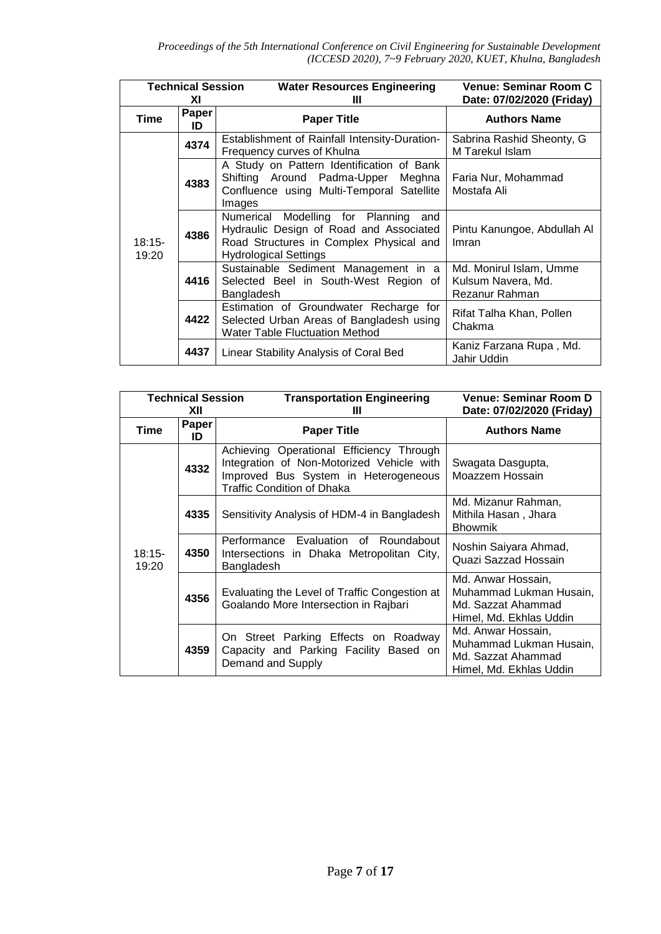| <b>Technical Session</b> |             | <b>Water Resources Engineering</b>                                                                                                                            | Venue: Seminar Room C                                           |
|--------------------------|-------------|---------------------------------------------------------------------------------------------------------------------------------------------------------------|-----------------------------------------------------------------|
|                          | ХI          | Ш                                                                                                                                                             | Date: 07/02/2020 (Friday)                                       |
| <b>Time</b>              | Paper<br>ID | <b>Paper Title</b>                                                                                                                                            | <b>Authors Name</b>                                             |
| $18:15-$<br>19:20        | 4374        | Establishment of Rainfall Intensity-Duration-<br>Frequency curves of Khulna                                                                                   | Sabrina Rashid Sheonty, G<br>M Tarekul Islam                    |
|                          | 4383        | A Study on Pattern Identification of Bank<br>Shifting Around Padma-Upper<br>Meghna<br>Confluence using Multi-Temporal Satellite<br>Images                     | Faria Nur, Mohammad<br>Mostafa Ali                              |
|                          | 4386        | Numerical Modelling for Planning<br>and<br>Hydraulic Design of Road and Associated<br>Road Structures in Complex Physical and<br><b>Hydrological Settings</b> | Pintu Kanungoe, Abdullah Al<br>Imran                            |
|                          | 4416        | Sustainable Sediment Management in a<br>Selected Beel in South-West Region of<br>Bangladesh                                                                   | Md. Monirul Islam, Umme<br>Kulsum Navera, Md.<br>Rezanur Rahman |
|                          | 4422        | Estimation of Groundwater Recharge for<br>Selected Urban Areas of Bangladesh using<br><b>Water Table Fluctuation Method</b>                                   | Rifat Talha Khan, Pollen<br>Chakma                              |
|                          | 4437        | Linear Stability Analysis of Coral Bed                                                                                                                        | Kaniz Farzana Rupa, Md.<br>Jahir Uddin                          |

| <b>Technical Session</b><br>XII |             | <b>Transportation Engineering</b><br>Ш                                                                                                                      | Venue: Seminar Room D<br>Date: 07/02/2020 (Friday)                                             |
|---------------------------------|-------------|-------------------------------------------------------------------------------------------------------------------------------------------------------------|------------------------------------------------------------------------------------------------|
| Time                            | Paper<br>ID | <b>Paper Title</b>                                                                                                                                          | <b>Authors Name</b>                                                                            |
| $18:15-$<br>19:20               | 4332        | Achieving Operational Efficiency Through<br>Integration of Non-Motorized Vehicle with<br>Improved Bus System in Heterogeneous<br>Traffic Condition of Dhaka | Swagata Dasgupta,<br>Moazzem Hossain                                                           |
|                                 | 4335        | Sensitivity Analysis of HDM-4 in Bangladesh                                                                                                                 | Md. Mizanur Rahman,<br>Mithila Hasan, Jhara<br><b>Bhowmik</b>                                  |
|                                 | 4350        | Evaluation of Roundabout<br>Performance<br>Intersections in Dhaka Metropolitan City,<br>Bangladesh                                                          | Noshin Saiyara Ahmad,<br>Quazi Sazzad Hossain                                                  |
|                                 | 4356        | Evaluating the Level of Traffic Congestion at<br>Goalando More Intersection in Rajbari                                                                      | Md. Anwar Hossain,<br>Muhammad Lukman Husain,<br>Md. Sazzat Ahammad<br>Himel, Md. Ekhlas Uddin |
|                                 | 4359        | On Street Parking Effects on Roadway<br>Capacity and Parking Facility Based on<br>Demand and Supply                                                         | Md. Anwar Hossain,<br>Muhammad Lukman Husain,<br>Md. Sazzat Ahammad<br>Himel, Md. Ekhlas Uddin |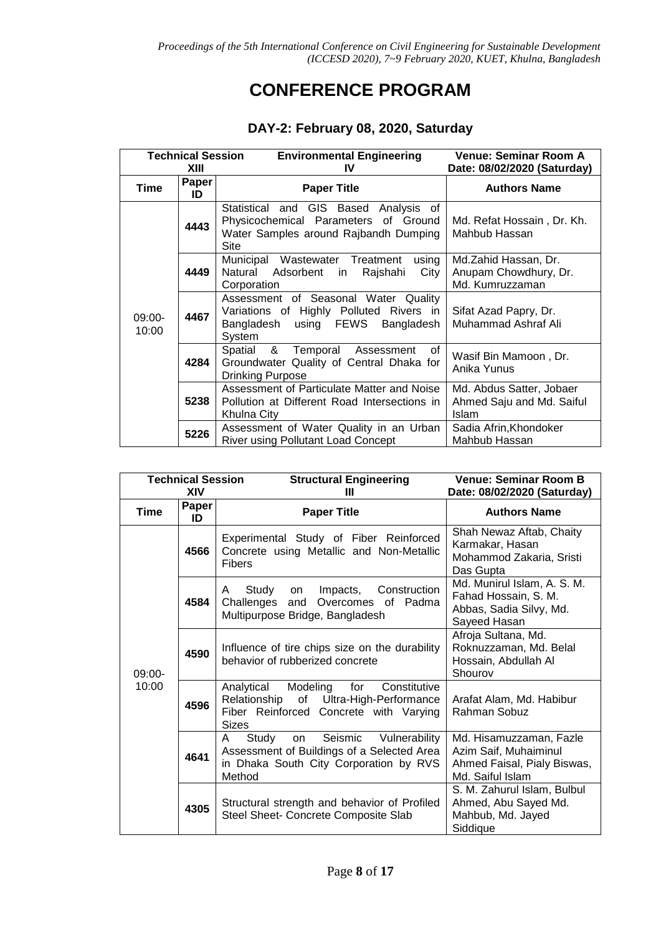### **CONFERENCE PROGRAM**

#### **DAY-2: February 08, 2020, Saturday**

| <b>Technical Session</b><br>XIII |             | <b>Environmental Engineering</b><br>IV                                                                                                | Venue: Seminar Room A<br>Date: 08/02/2020 (Saturday)                  |
|----------------------------------|-------------|---------------------------------------------------------------------------------------------------------------------------------------|-----------------------------------------------------------------------|
| Time                             | Paper<br>ID | <b>Paper Title</b>                                                                                                                    | <b>Authors Name</b>                                                   |
| 09:00-<br>10:00                  | 4443        | Statistical and GIS Based Analysis of<br>Physicochemical Parameters of Ground<br>Water Samples around Rajbandh Dumping<br><b>Site</b> | Md. Refat Hossain, Dr. Kh.<br>Mahbub Hassan                           |
|                                  | 4449        | Municipal Wastewater Treatment<br>using<br>Natural Adsorbent<br>Raishahi<br>City<br>in<br>Corporation                                 | Md.Zahid Hassan, Dr.<br>Anupam Chowdhury, Dr.<br>Md. Kumruzzaman      |
|                                  | 4467        | Assessment of Seasonal Water Quality<br>Variations of Highly Polluted Rivers in<br>Bangladesh using FEWS<br>Bangladesh<br>System      | Sifat Azad Papry, Dr.<br>Muhammad Ashraf Ali                          |
|                                  | 4284        | Spatial & Temporal Assessment<br>of<br>Groundwater Quality of Central Dhaka for<br><b>Drinking Purpose</b>                            | Wasif Bin Mamoon, Dr.<br>Anika Yunus                                  |
|                                  | 5238        | Assessment of Particulate Matter and Noise<br>Pollution at Different Road Intersections in<br>Khulna City                             | Md. Abdus Satter, Jobaer<br>Ahmed Saju and Md. Saiful<br><b>Islam</b> |
|                                  | 5226        | Assessment of Water Quality in an Urban<br>River using Pollutant Load Concept                                                         | Sadia Afrin, Khondoker<br>Mahbub Hassan                               |

|                   | <b>Technical Session</b><br>XIV | <b>Structural Engineering</b><br>Ш                                                                                                                      | Venue: Seminar Room B<br>Date: 08/02/2020 (Saturday)                                                |
|-------------------|---------------------------------|---------------------------------------------------------------------------------------------------------------------------------------------------------|-----------------------------------------------------------------------------------------------------|
| <b>Time</b>       | Paper<br>ID                     | <b>Paper Title</b>                                                                                                                                      | <b>Authors Name</b>                                                                                 |
| $09:00-$<br>10:00 | 4566                            | Experimental Study of Fiber Reinforced<br>Concrete using Metallic and Non-Metallic<br><b>Fibers</b>                                                     | Shah Newaz Aftab, Chaity<br>Karmakar, Hasan<br>Mohammod Zakaria, Sristi<br>Das Gupta                |
|                   | 4584                            | Study<br>Impacts,<br>Construction<br>on<br>A<br>Overcomes of Padma<br>Challenges<br>and<br>Multipurpose Bridge, Bangladesh                              | Md. Munirul Islam, A. S. M.<br>Fahad Hossain, S. M.<br>Abbas, Sadia Silvy, Md.<br>Sayeed Hasan      |
|                   | 4590                            | Influence of tire chips size on the durability<br>behavior of rubberized concrete                                                                       | Afroja Sultana, Md.<br>Roknuzzaman, Md. Belal<br>Hossain, Abdullah Al<br>Shourov                    |
|                   | 4596                            | Modeling<br>Analytical<br>for<br>Constitutive<br>of<br>Ultra-High-Performance<br>Relationship<br>Fiber Reinforced Concrete with Varying<br><b>Sizes</b> | Arafat Alam, Md. Habibur<br>Rahman Sobuz                                                            |
|                   | 4641                            | Seismic<br>Vulnerability<br>A<br>Study<br>on<br>Assessment of Buildings of a Selected Area<br>in Dhaka South City Corporation by RVS<br>Method          | Md. Hisamuzzaman, Fazle<br>Azim Saif, Muhaiminul<br>Ahmed Faisal, Pialy Biswas,<br>Md. Saiful Islam |
|                   | 4305                            | Structural strength and behavior of Profiled<br>Steel Sheet- Concrete Composite Slab                                                                    | S. M. Zahurul Islam, Bulbul<br>Ahmed, Abu Sayed Md.<br>Mahbub, Md. Jayed<br>Siddique                |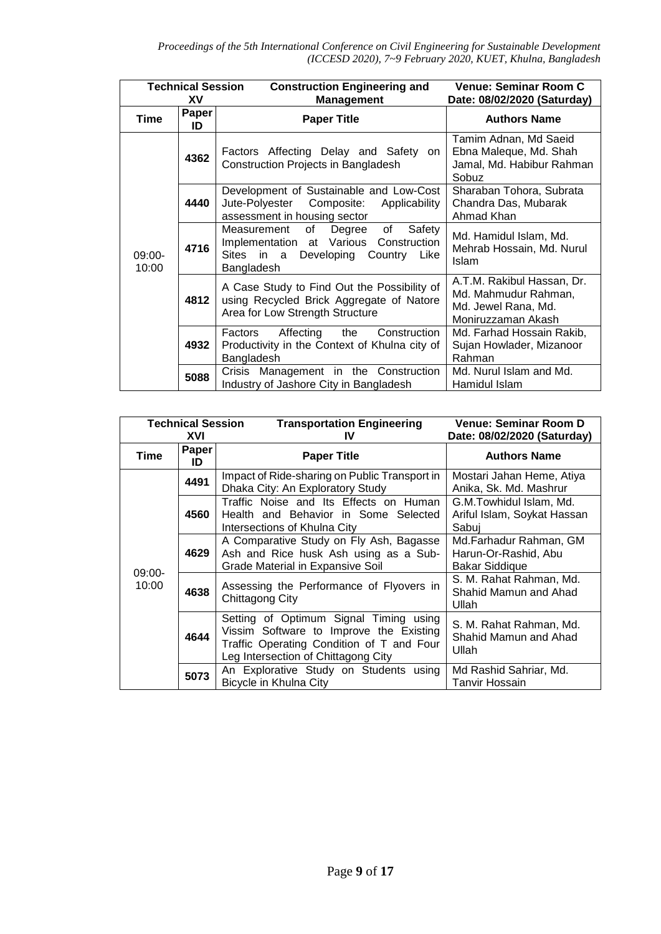| <b>Technical Session</b><br>XV |             | <b>Construction Engineering and</b><br><b>Management</b>                                                                                        | Venue: Seminar Room C<br>Date: 08/02/2020 (Saturday)                                            |
|--------------------------------|-------------|-------------------------------------------------------------------------------------------------------------------------------------------------|-------------------------------------------------------------------------------------------------|
| <b>Time</b>                    | Paper<br>ID | <b>Paper Title</b>                                                                                                                              | <b>Authors Name</b>                                                                             |
| $09:00-$<br>10:00              | 4362        | Factors Affecting Delay and Safety on<br>Construction Projects in Bangladesh                                                                    | Tamim Adnan, Md Saeid<br>Ebna Maleque, Md. Shah<br>Jamal, Md. Habibur Rahman<br>Sobuz           |
|                                | 4440        | Development of Sustainable and Low-Cost<br>Jute-Polyester Composite:<br>Applicability<br>assessment in housing sector                           | Sharaban Tohora, Subrata<br>Chandra Das, Mubarak<br>Ahmad Khan                                  |
|                                | 4716        | of<br>of<br>Safety<br>Measurement<br>Degree<br>Implementation at Various Construction<br>Developing<br>Sites in a<br>Country Like<br>Bangladesh | Md. Hamidul Islam, Md.<br>Mehrab Hossain, Md. Nurul<br>Islam                                    |
|                                | 4812        | A Case Study to Find Out the Possibility of<br>using Recycled Brick Aggregate of Natore<br>Area for Low Strength Structure                      | A.T.M. Rakibul Hassan, Dr.<br>Md. Mahmudur Rahman,<br>Md. Jewel Rana, Md.<br>Moniruzzaman Akash |
|                                | 4932        | Affecting the<br>Factors<br>Construction<br>Productivity in the Context of Khulna city of<br>Bangladesh                                         | Md. Farhad Hossain Rakib,<br>Sujan Howlader, Mizanoor<br>Rahman                                 |
|                                | 5088        | Crisis Management in the Construction<br>Industry of Jashore City in Bangladesh                                                                 | Md. Nurul Islam and Md.<br>Hamidul Islam                                                        |

| <b>Technical Session</b><br>XVI |             | <b>Transportation Engineering</b><br>IV                                                                                                                               | Venue: Seminar Room D<br>Date: 08/02/2020 (Saturday)             |
|---------------------------------|-------------|-----------------------------------------------------------------------------------------------------------------------------------------------------------------------|------------------------------------------------------------------|
| Time                            | Paper<br>ID | <b>Paper Title</b>                                                                                                                                                    | <b>Authors Name</b>                                              |
| $09:00-$<br>10:00               | 4491        | Impact of Ride-sharing on Public Transport in<br>Dhaka City: An Exploratory Study                                                                                     | Mostari Jahan Heme, Atiya<br>Anika, Sk. Md. Mashrur              |
|                                 | 4560        | Traffic Noise and Its Effects on Human<br>Health and Behavior in Some Selected<br>Intersections of Khulna City                                                        | G.M.Towhidul Islam, Md.<br>Ariful Islam, Soykat Hassan<br>Sabui  |
|                                 | 4629        | A Comparative Study on Fly Ash, Bagasse<br>Ash and Rice husk Ash using as a Sub-<br>Grade Material in Expansive Soil                                                  | Md.Farhadur Rahman, GM<br>Harun-Or-Rashid, Abu<br>Bakar Siddique |
|                                 | 4638        | Assessing the Performance of Flyovers in<br>Chittagong City                                                                                                           | S. M. Rahat Rahman, Md.<br>Shahid Mamun and Ahad<br>Ullah        |
|                                 | 4644        | Setting of Optimum Signal Timing using<br>Vissim Software to Improve the Existing<br>Traffic Operating Condition of T and Four<br>Leg Intersection of Chittagong City | S. M. Rahat Rahman, Md.<br>Shahid Mamun and Ahad<br>Ullah        |
|                                 | 5073        | An Explorative Study on Students using<br>Bicycle in Khulna City                                                                                                      | Md Rashid Sahriar, Md.<br>Tanvir Hossain                         |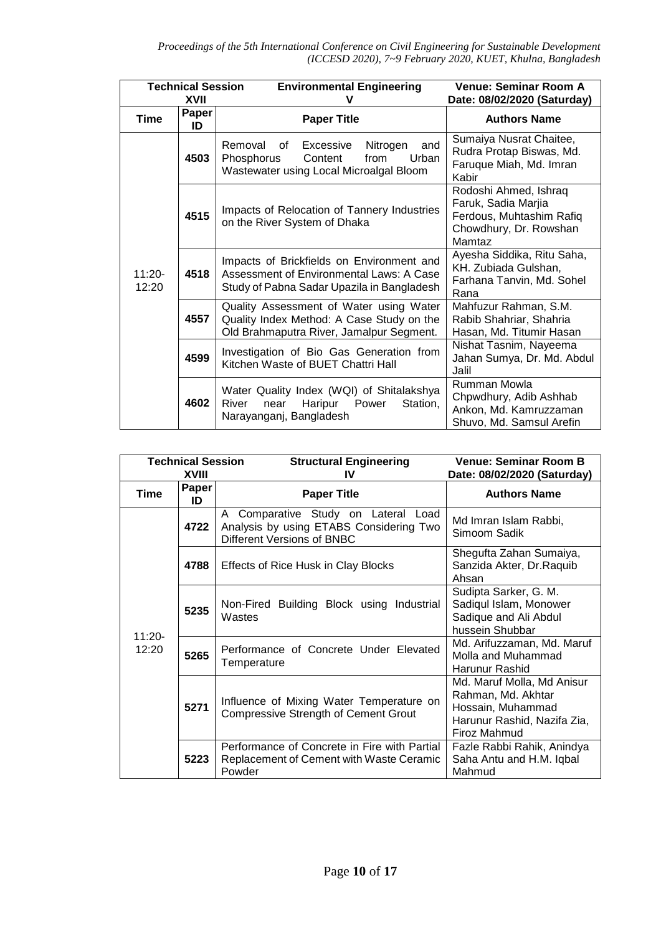|                   | <b>Technical Session</b><br>XVII | <b>Environmental Engineering</b><br>v                                                                                               | Venue: Seminar Room A<br>Date: 08/02/2020 (Saturday)                                                         |
|-------------------|----------------------------------|-------------------------------------------------------------------------------------------------------------------------------------|--------------------------------------------------------------------------------------------------------------|
| <b>Time</b>       | Paper<br>ID                      | <b>Paper Title</b>                                                                                                                  | <b>Authors Name</b>                                                                                          |
| $11:20-$<br>12:20 | 4503                             | Removal<br>Nitrogen<br>οf<br>Excessive<br>and<br>Phosphorus<br>Urban<br>from<br>Content<br>Wastewater using Local Microalgal Bloom  | Sumaiya Nusrat Chaitee,<br>Rudra Protap Biswas, Md.<br>Faruque Miah, Md. Imran<br>Kabir                      |
|                   | 4515                             | Impacts of Relocation of Tannery Industries<br>on the River System of Dhaka                                                         | Rodoshi Ahmed, Ishraq<br>Faruk, Sadia Marjia<br>Ferdous, Muhtashim Rafiq<br>Chowdhury, Dr. Rowshan<br>Mamtaz |
|                   | 4518                             | Impacts of Brickfields on Environment and<br>Assessment of Environmental Laws: A Case<br>Study of Pabna Sadar Upazila in Bangladesh | Ayesha Siddika, Ritu Saha,<br>KH. Zubiada Gulshan,<br>Farhana Tanvin, Md. Sohel<br>Rana                      |
|                   | 4557                             | Quality Assessment of Water using Water<br>Quality Index Method: A Case Study on the<br>Old Brahmaputra River, Jamalpur Segment.    | Mahfuzur Rahman, S.M.<br>Rabib Shahriar, Shahria<br>Hasan, Md. Titumir Hasan                                 |
|                   | 4599                             | Investigation of Bio Gas Generation from<br>Kitchen Waste of BUET Chattri Hall                                                      | Nishat Tasnim, Nayeema<br>Jahan Sumya, Dr. Md. Abdul<br>Jalil                                                |
|                   | 4602                             | Water Quality Index (WQI) of Shitalakshya<br>Power<br>Station,<br>Haripur<br>River<br>near<br>Narayanganj, Bangladesh               | Rumman Mowla<br>Chpwdhury, Adib Ashhab<br>Ankon, Md. Kamruzzaman<br>Shuvo, Md. Samsul Arefin                 |

| <b>Technical Session</b><br>XVIII |             | <b>Structural Engineering</b><br>IV                                                                                       | Venue: Seminar Room B<br>Date: 08/02/2020 (Saturday)                                                                 |
|-----------------------------------|-------------|---------------------------------------------------------------------------------------------------------------------------|----------------------------------------------------------------------------------------------------------------------|
| Time                              | Paper<br>ID | <b>Paper Title</b>                                                                                                        | <b>Authors Name</b>                                                                                                  |
| $11:20 -$<br>12:20                | 4722        | Comparative Study on Lateral<br>A<br>Load<br>Analysis by using ETABS Considering Two<br><b>Different Versions of BNBC</b> | Md Imran Islam Rabbi,<br>Simoom Sadik                                                                                |
|                                   | 4788        | Effects of Rice Husk in Clay Blocks                                                                                       | Shegufta Zahan Sumaiya,<br>Sanzida Akter, Dr. Raquib<br>Ahsan                                                        |
|                                   | 5235        | Non-Fired Building Block using Industrial<br>Wastes                                                                       | Sudipta Sarker, G. M.<br>Sadiqul Islam, Monower<br>Sadique and Ali Abdul<br>hussein Shubbar                          |
|                                   | 5265        | Performance of Concrete Under Elevated<br>Temperature                                                                     | Md. Arifuzzaman, Md. Maruf<br>Molla and Muhammad<br>Harunur Rashid                                                   |
|                                   | 5271        | Influence of Mixing Water Temperature on<br><b>Compressive Strength of Cement Grout</b>                                   | Md. Maruf Molla, Md Anisur<br>Rahman, Md. Akhtar<br>Hossain, Muhammad<br>Harunur Rashid, Nazifa Zia,<br>Firoz Mahmud |
|                                   | 5223        | Performance of Concrete in Fire with Partial<br>Replacement of Cement with Waste Ceramic<br>Powder                        | Fazle Rabbi Rahik, Anindya<br>Saha Antu and H.M. Iqbal<br>Mahmud                                                     |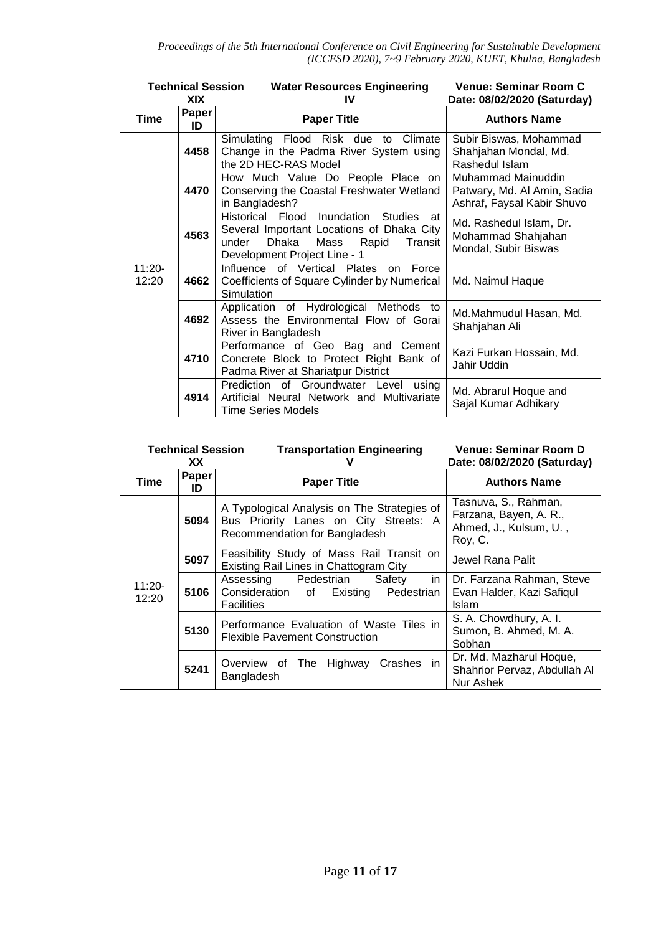|                    | <b>Technical Session</b><br>XIX | <b>Water Resources Engineering</b><br>IV                                                                                                                                  | Venue: Seminar Room C<br>Date: 08/02/2020 (Saturday)                            |
|--------------------|---------------------------------|---------------------------------------------------------------------------------------------------------------------------------------------------------------------------|---------------------------------------------------------------------------------|
| <b>Time</b>        | Paper<br>ID                     | <b>Paper Title</b>                                                                                                                                                        | <b>Authors Name</b>                                                             |
| $11:20 -$<br>12:20 | 4458                            | Simulating Flood Risk due to Climate<br>Change in the Padma River System using<br>the 2D HEC-RAS Model                                                                    | Subir Biswas, Mohammad<br>Shahjahan Mondal, Md.<br>Rashedul Islam               |
|                    | 4470                            | How Much Value Do People Place on<br>Conserving the Coastal Freshwater Wetland<br>in Bangladesh?                                                                          | Muhammad Mainuddin<br>Patwary, Md. Al Amin, Sadia<br>Ashraf, Faysal Kabir Shuvo |
|                    | 4563                            | Historical Flood<br>Inundation Studies<br>at -<br>Several Important Locations of Dhaka City<br>Dhaka<br>Mass<br>under<br>Rapid<br>Transit<br>Development Project Line - 1 | Md. Rashedul Islam, Dr.<br>Mohammad Shahjahan<br>Mondal, Subir Biswas           |
|                    | 4662                            | Influence of Vertical Plates<br>on Force<br>Coefficients of Square Cylinder by Numerical<br>Simulation                                                                    | Md. Naimul Haque                                                                |
|                    | 4692                            | Application of Hydrological Methods to<br>Assess the Environmental Flow of Gorai<br>River in Bangladesh                                                                   | Md.Mahmudul Hasan, Md.<br>Shahjahan Ali                                         |
|                    | 4710                            | Performance of Geo Bag and Cement<br>Concrete Block to Protect Right Bank of<br>Padma River at Shariatpur District                                                        | Kazi Furkan Hossain, Md.<br>Jahir Uddin                                         |
|                    | 4914                            | Prediction of Groundwater Level<br>using<br>Artificial Neural Network and Multivariate<br>Time Series Models                                                              | Md. Abrarul Hoque and<br>Sajal Kumar Adhikary                                   |

| <b>Technical Session</b><br>XX. |             | <b>Transportation Engineering</b><br>v                                                                                | <b>Venue: Seminar Room D</b><br>Date: 08/02/2020 (Saturday)                         |
|---------------------------------|-------------|-----------------------------------------------------------------------------------------------------------------------|-------------------------------------------------------------------------------------|
| Time                            | Paper<br>ID | <b>Paper Title</b>                                                                                                    | <b>Authors Name</b>                                                                 |
| $11:20 -$<br>12:20              | 5094        | A Typological Analysis on The Strategies of<br>Bus Priority Lanes on City Streets: A<br>Recommendation for Bangladesh | Tasnuva, S., Rahman,<br>Farzana, Bayen, A. R.,<br>Ahmed, J., Kulsum, U.,<br>Roy, C. |
|                                 | 5097        | Feasibility Study of Mass Rail Transit on<br>Existing Rail Lines in Chattogram City                                   | Jewel Rana Palit                                                                    |
|                                 | 5106        | Pedestrian<br>Assessing<br>Safety<br>in.<br>Consideration of Existing Pedestrian<br><b>Facilities</b>                 | Dr. Farzana Rahman, Steve<br>Evan Halder, Kazi Safiqul<br>Islam                     |
|                                 | 5130        | Performance Evaluation of Waste Tiles in<br><b>Flexible Pavement Construction</b>                                     | S. A. Chowdhury, A. I.<br>Sumon, B. Ahmed, M. A.<br>Sobhan                          |
|                                 | 5241        | Overview of The Highway Crashes in<br>Bangladesh                                                                      | Dr. Md. Mazharul Hoque,<br>Shahrior Pervaz, Abdullah Al<br>Nur Ashek                |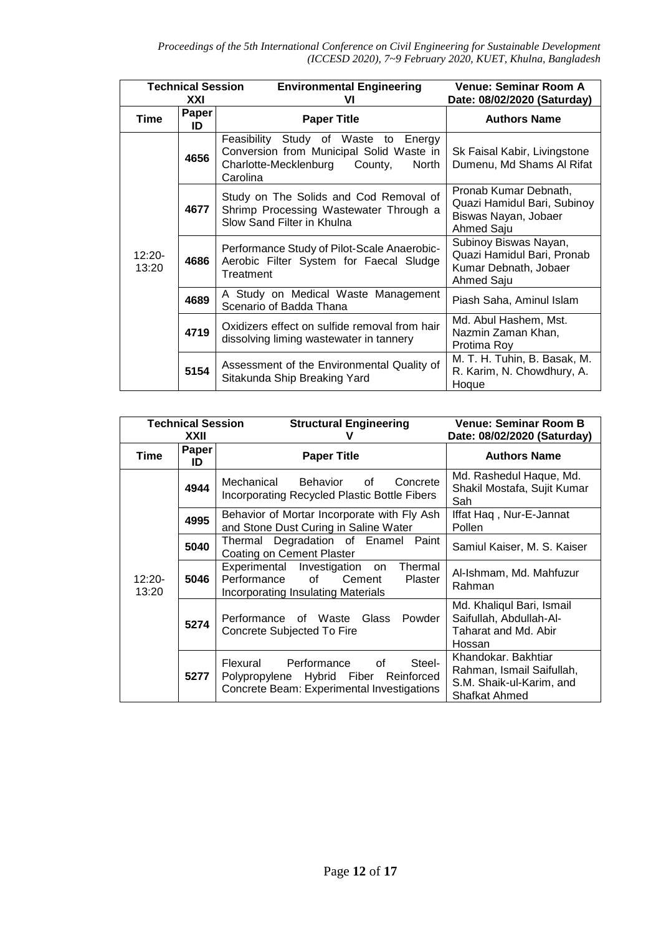| <b>Technical Session</b> |             | <b>Environmental Engineering</b>                                                                                                          | Venue: Seminar Room A                                                                      |
|--------------------------|-------------|-------------------------------------------------------------------------------------------------------------------------------------------|--------------------------------------------------------------------------------------------|
|                          | XXI         | VI                                                                                                                                        | Date: 08/02/2020 (Saturday)                                                                |
| Time                     | Paper<br>ID | <b>Paper Title</b>                                                                                                                        | <b>Authors Name</b>                                                                        |
| $12:20-$<br>13:20        | 4656        | Feasibility Study of Waste to Energy<br>Conversion from Municipal Solid Waste in<br>Charlotte-Mecklenburg<br>County,<br>North<br>Carolina | Sk Faisal Kabir, Livingstone<br>Dumenu, Md Shams Al Rifat                                  |
|                          | 4677        | Study on The Solids and Cod Removal of<br>Shrimp Processing Wastewater Through a<br>Slow Sand Filter in Khulna                            | Pronab Kumar Debnath,<br>Quazi Hamidul Bari, Subinoy<br>Biswas Nayan, Jobaer<br>Ahmed Saju |
|                          | 4686        | Performance Study of Pilot-Scale Anaerobic-<br>Aerobic Filter System for Faecal Sludge<br>Treatment                                       | Subinoy Biswas Nayan,<br>Quazi Hamidul Bari, Pronab<br>Kumar Debnath, Jobaer<br>Ahmed Saju |
|                          | 4689        | A Study on Medical Waste Management<br>Scenario of Badda Thana                                                                            | Piash Saha, Aminul Islam                                                                   |
|                          | 4719        | Oxidizers effect on sulfide removal from hair<br>dissolving liming wastewater in tannery                                                  | Md. Abul Hashem, Mst.<br>Nazmin Zaman Khan,<br>Protima Roy                                 |
|                          | 5154        | Assessment of the Environmental Quality of<br>Sitakunda Ship Breaking Yard                                                                | M. T. H. Tuhin, B. Basak, M.<br>R. Karim, N. Chowdhury, A.<br>Hoque                        |

| <b>Technical Session</b><br>XXII |             | <b>Structural Engineering</b>                                                                                                                                                                                                                                                                                                                               | Venue: Seminar Room B<br>Date: 08/02/2020 (Saturday)                                          |
|----------------------------------|-------------|-------------------------------------------------------------------------------------------------------------------------------------------------------------------------------------------------------------------------------------------------------------------------------------------------------------------------------------------------------------|-----------------------------------------------------------------------------------------------|
| Time                             | Paper<br>ID | <b>Paper Title</b>                                                                                                                                                                                                                                                                                                                                          | <b>Authors Name</b>                                                                           |
|                                  | 4944        | Mechanical<br>Behavior<br>Concrete<br>of<br>Incorporating Recycled Plastic Bottle Fibers                                                                                                                                                                                                                                                                    | Md. Rashedul Haque, Md.<br>Shakil Mostafa, Sujit Kumar<br>Sah                                 |
|                                  | 4995        | Behavior of Mortar Incorporate with Fly Ash<br>and Stone Dust Curing in Saline Water                                                                                                                                                                                                                                                                        | Iffat Haq, Nur-E-Jannat<br>Pollen                                                             |
| $12:20 -$<br>13:20               | 5040        | Thermal Degradation of Enamel Paint<br><b>Coating on Cement Plaster</b>                                                                                                                                                                                                                                                                                     | Samiul Kaiser, M. S. Kaiser                                                                   |
|                                  | 5046        | Experimental Investigation on<br>Thermal<br>Performance<br>of the contract of the contract of the contract of the contract of the contract of the contract of the contract of the contract of the contract of the contract of the contract of the contract of the contract of the contrac<br>Cement<br>Plaster<br><b>Incorporating Insulating Materials</b> | Al-Ishmam, Md. Mahfuzur<br>Rahman                                                             |
|                                  | 5274        | Powder<br>Performance of Waste<br>Glass<br>Concrete Subjected To Fire                                                                                                                                                                                                                                                                                       | Md. Khaliqul Bari, Ismail<br>Saifullah, Abdullah-Al-<br>Taharat and Md. Abir<br>Hossan        |
|                                  | 5277        | Steel-<br>Performance<br>Flexural<br>of<br>Polypropylene Hybrid Fiber<br>Reinforced<br>Concrete Beam: Experimental Investigations                                                                                                                                                                                                                           | Khandokar, Bakhtiar<br>Rahman, Ismail Saifullah,<br>S.M. Shaik-ul-Karim, and<br>Shafkat Ahmed |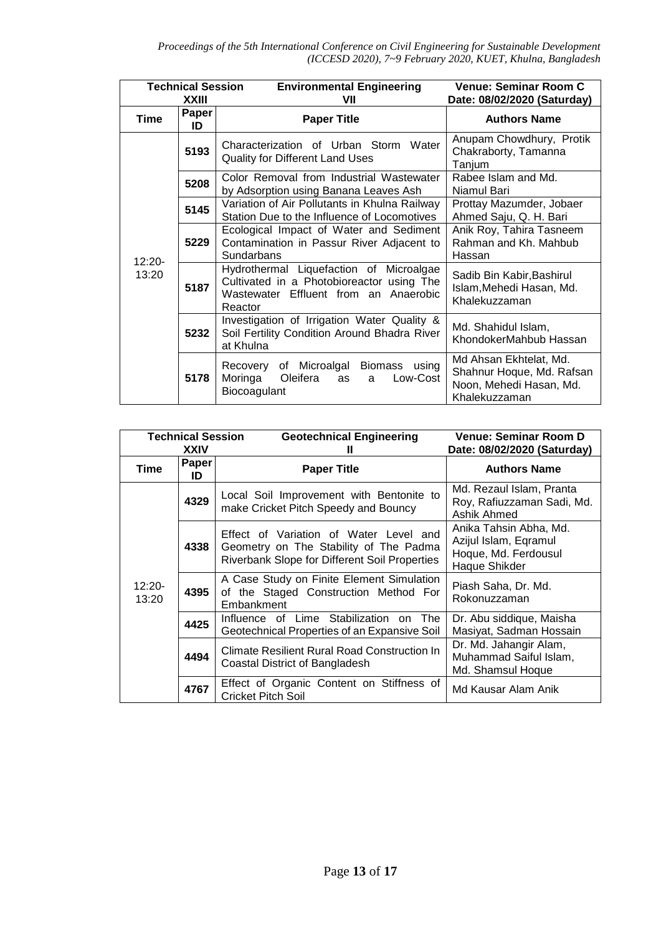| <b>Technical Session</b><br><b>XXIII</b> |             | <b>Environmental Engineering</b><br>VII                                                                                                  | <b>Venue: Seminar Room C</b><br>Date: 08/02/2020 (Saturday)                                     |
|------------------------------------------|-------------|------------------------------------------------------------------------------------------------------------------------------------------|-------------------------------------------------------------------------------------------------|
| Time                                     | Paper<br>ID | <b>Paper Title</b>                                                                                                                       | <b>Authors Name</b>                                                                             |
|                                          | 5193        | Characterization of Urban Storm Water<br><b>Quality for Different Land Uses</b>                                                          | Anupam Chowdhury, Protik<br>Chakraborty, Tamanna<br>Tanjum                                      |
|                                          | 5208        | Color Removal from Industrial Wastewater<br>by Adsorption using Banana Leaves Ash                                                        | Rabee Islam and Md.<br>Niamul Bari                                                              |
| $12:20 -$<br>13:20                       | 5145        | Variation of Air Pollutants in Khulna Railway<br>Station Due to the Influence of Locomotives                                             | Prottay Mazumder, Jobaer<br>Ahmed Saju, Q. H. Bari                                              |
|                                          | 5229        | Ecological Impact of Water and Sediment<br>Contamination in Passur River Adjacent to<br>Sundarbans                                       | Anik Roy, Tahira Tasneem<br>Rahman and Kh. Mahbub<br>Hassan                                     |
|                                          | 5187        | Hydrothermal Liquefaction of Microalgae<br>Cultivated in a Photobioreactor using The<br>Wastewater Effluent from an Anaerobic<br>Reactor | Sadib Bin Kabir, Bashirul<br>Islam, Mehedi Hasan, Md.<br>Khalekuzzaman                          |
|                                          | 5232        | Investigation of Irrigation Water Quality &<br>Soil Fertility Condition Around Bhadra River<br>at Khulna                                 | Md. Shahidul Islam,<br>KhondokerMahbub Hassan                                                   |
|                                          | 5178        | of Microalgal<br>Biomass<br>using<br>Recovery<br>Oleifera<br>Low-Cost<br>Moringa<br>as<br>a<br>Biocoagulant                              | Md Ahsan Ekhtelat, Md.<br>Shahnur Hoque, Md. Rafsan<br>Noon, Mehedi Hasan, Md.<br>Khalekuzzaman |

| <b>Technical Session</b><br><b>XXIV</b> |             | <b>Geotechnical Engineering</b>                                                                                                          | Venue: Seminar Room D<br>Date: 08/02/2020 (Saturday)                                     |
|-----------------------------------------|-------------|------------------------------------------------------------------------------------------------------------------------------------------|------------------------------------------------------------------------------------------|
| Time                                    | Paper<br>ID | <b>Paper Title</b>                                                                                                                       | <b>Authors Name</b>                                                                      |
|                                         | 4329        | Local Soil Improvement with Bentonite to<br>make Cricket Pitch Speedy and Bouncy                                                         | Md. Rezaul Islam, Pranta<br>Roy, Rafiuzzaman Sadi, Md.<br>Ashik Ahmed                    |
|                                         | 4338        | Effect of Variation of Water Level and<br>Geometry on The Stability of The Padma<br><b>Riverbank Slope for Different Soil Properties</b> | Anika Tahsin Abha, Md.<br>Azijul Islam, Eqramul<br>Hoque, Md. Ferdousul<br>Haque Shikder |
| $12:20 -$<br>13:20                      | 4395        | A Case Study on Finite Element Simulation<br>of the Staged Construction Method For<br>Embankment                                         | Piash Saha, Dr. Md.<br>Rokonuzzaman                                                      |
|                                         | 4425        | Influence of Lime Stabilization<br>on The<br>Geotechnical Properties of an Expansive Soil                                                | Dr. Abu siddique, Maisha<br>Masiyat, Sadman Hossain                                      |
|                                         | 4494        | Climate Resilient Rural Road Construction In<br>Coastal District of Bangladesh                                                           | Dr. Md. Jahangir Alam,<br>Muhammad Saiful Islam,<br>Md. Shamsul Hoque                    |
|                                         | 4767        | Effect of Organic Content on Stiffness of<br><b>Cricket Pitch Soil</b>                                                                   | Md Kausar Alam Anik                                                                      |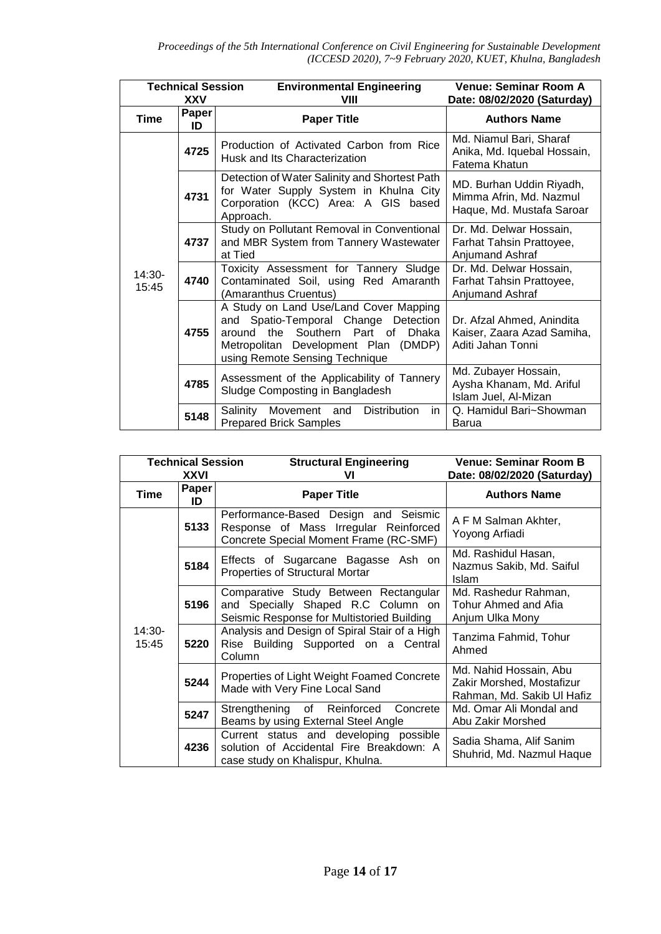| <b>Technical Session</b><br>XXV |                    | <b>Environmental Engineering</b><br>VIII                                                                                                                                                                   | Venue: Seminar Room A<br>Date: 08/02/2020 (Saturday)                             |
|---------------------------------|--------------------|------------------------------------------------------------------------------------------------------------------------------------------------------------------------------------------------------------|----------------------------------------------------------------------------------|
| <b>Time</b>                     | <b>Paper</b><br>ID | <b>Paper Title</b>                                                                                                                                                                                         | <b>Authors Name</b>                                                              |
|                                 | 4725               | Production of Activated Carbon from Rice<br>Husk and Its Characterization                                                                                                                                  | Md. Niamul Bari, Sharaf<br>Anika, Md. Iquebal Hossain,<br>Fatema Khatun          |
| $14:30-$<br>15:45               | 4731               | Detection of Water Salinity and Shortest Path<br>for Water Supply System in Khulna City<br>Corporation (KCC) Area: A GIS based<br>Approach.                                                                | MD. Burhan Uddin Riyadh,<br>Mimma Afrin, Md. Nazmul<br>Haque, Md. Mustafa Saroar |
|                                 | 4737               | Study on Pollutant Removal in Conventional<br>and MBR System from Tannery Wastewater<br>at Tied                                                                                                            | Dr. Md. Delwar Hossain,<br>Farhat Tahsin Prattoyee,<br>Anjumand Ashraf           |
|                                 | 4740               | Toxicity Assessment for Tannery Sludge<br>Contaminated Soil, using Red Amaranth<br>(Amaranthus Cruentus)                                                                                                   | Dr. Md. Delwar Hossain,<br>Farhat Tahsin Prattoyee,<br>Anjumand Ashraf           |
|                                 | 4755               | A Study on Land Use/Land Cover Mapping<br>and Spatio-Temporal Change Detection<br>Southern Part of<br>around the<br><b>Dhaka</b><br>Metropolitan Development Plan (DMDP)<br>using Remote Sensing Technique | Dr. Afzal Ahmed, Anindita<br>Kaiser, Zaara Azad Samiha,<br>Aditi Jahan Tonni     |
|                                 | 4785               | Assessment of the Applicability of Tannery<br>Sludge Composting in Bangladesh                                                                                                                              | Md. Zubayer Hossain,<br>Aysha Khanam, Md. Ariful<br>Islam Juel, Al-Mizan         |
|                                 | 5148               | <b>Distribution</b><br>Salinity<br>Movement and<br>in.<br><b>Prepared Brick Samples</b>                                                                                                                    | Q. Hamidul Bari~Showman<br>Barua                                                 |

| <b>Technical Session</b><br>XXVI |             | <b>Structural Engineering</b><br>vı                                                                                       | <b>Venue: Seminar Room B</b><br>Date: 08/02/2020 (Saturday)                       |
|----------------------------------|-------------|---------------------------------------------------------------------------------------------------------------------------|-----------------------------------------------------------------------------------|
| Time                             | Paper<br>ID | <b>Paper Title</b>                                                                                                        | <b>Authors Name</b>                                                               |
|                                  | 5133        | Performance-Based Design and Seismic<br>Response of Mass Irregular Reinforced<br>Concrete Special Moment Frame (RC-SMF)   | A F M Salman Akhter,<br>Yoyong Arfiadi                                            |
| $14:30-$<br>15:45                | 5184        | Effects of Sugarcane Bagasse Ash on<br>Properties of Structural Mortar                                                    | Md. Rashidul Hasan,<br>Nazmus Sakib, Md. Saiful<br>Islam                          |
|                                  | 5196        | Comparative Study Between Rectangular<br>and Specially Shaped R.C Column on<br>Seismic Response for Multistoried Building | Md. Rashedur Rahman,<br>Tohur Ahmed and Afia<br>Anjum Ulka Mony                   |
|                                  | 5220        | Analysis and Design of Spiral Stair of a High<br>Rise Building Supported on a Central<br>Column                           | Tanzima Fahmid, Tohur<br>Ahmed                                                    |
|                                  | 5244        | Properties of Light Weight Foamed Concrete<br>Made with Very Fine Local Sand                                              | Md. Nahid Hossain, Abu<br>Zakir Morshed, Mostafizur<br>Rahman, Md. Sakib Ul Hafiz |
|                                  | 5247        | Concrete<br>Strengthening of Reinforced<br>Beams by using External Steel Angle                                            | Md. Omar Ali Mondal and<br>Abu Zakir Morshed                                      |
|                                  | 4236        | Current status and developing possible<br>solution of Accidental Fire Breakdown: A<br>case study on Khalispur, Khulna.    | Sadia Shama, Alif Sanim<br>Shuhrid, Md. Nazmul Haque                              |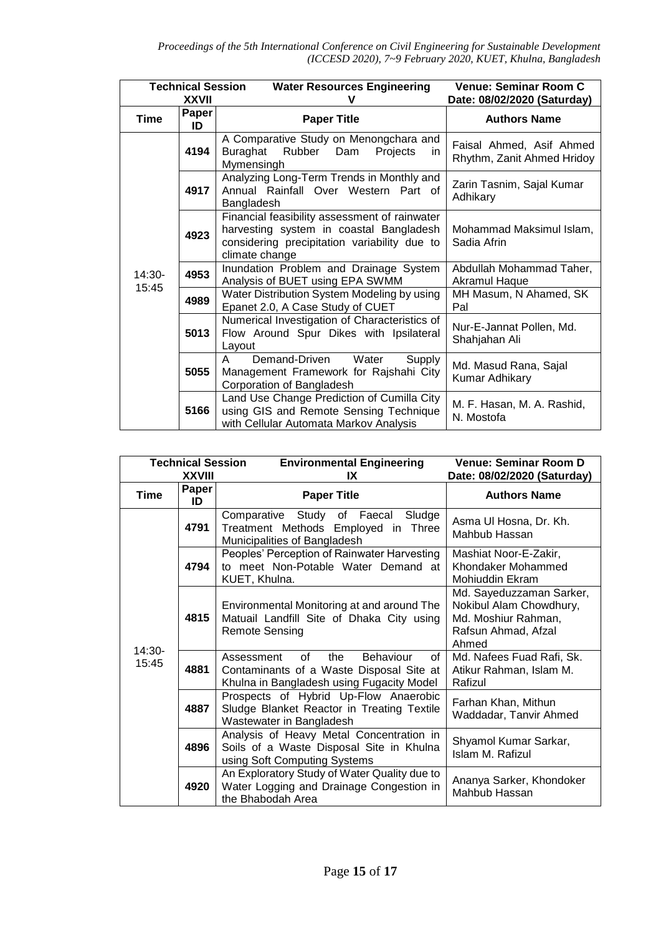|                 | <b>Technical Session</b><br><b>XXVII</b> | <b>Water Resources Engineering</b><br>v                                                                                                                    | Venue: Seminar Room C<br>Date: 08/02/2020 (Saturday)   |
|-----------------|------------------------------------------|------------------------------------------------------------------------------------------------------------------------------------------------------------|--------------------------------------------------------|
| <b>Time</b>     | Paper<br>ID                              | <b>Paper Title</b>                                                                                                                                         | <b>Authors Name</b>                                    |
|                 | 4194                                     | A Comparative Study on Menongchara and<br>Rubber Dam<br>Buraghat<br>Projects<br>in.<br>Mymensingh                                                          | Faisal Ahmed, Asif Ahmed<br>Rhythm, Zanit Ahmed Hridoy |
|                 | 4917                                     | Analyzing Long-Term Trends in Monthly and<br>Annual Rainfall Over Western Part of<br>Bangladesh                                                            | Zarin Tasnim, Sajal Kumar<br>Adhikary                  |
|                 | 4923                                     | Financial feasibility assessment of rainwater<br>harvesting system in coastal Bangladesh<br>considering precipitation variability due to<br>climate change | Mohammad Maksimul Islam,<br>Sadia Afrin                |
| 14:30-<br>15:45 | 4953                                     | Inundation Problem and Drainage System<br>Analysis of BUET using EPA SWMM                                                                                  | Abdullah Mohammad Taher,<br>Akramul Haque              |
|                 | 4989                                     | Water Distribution System Modeling by using<br>Epanet 2.0, A Case Study of CUET                                                                            | MH Masum, N Ahamed, SK<br>Pal                          |
|                 | 5013                                     | Numerical Investigation of Characteristics of<br>Flow Around Spur Dikes with Ipsilateral<br>Layout                                                         | Nur-E-Jannat Pollen, Md.<br>Shahjahan Ali              |
|                 | 5055                                     | Demand-Driven<br>Water<br>Supply<br>A<br>Management Framework for Rajshahi City<br>Corporation of Bangladesh                                               | Md. Masud Rana, Sajal<br>Kumar Adhikary                |
|                 | 5166                                     | Land Use Change Prediction of Cumilla City<br>using GIS and Remote Sensing Technique<br>with Cellular Automata Markov Analysis                             | M. F. Hasan, M. A. Rashid,<br>N. Mostofa               |

| <b>Technical Session</b><br><b>XXVIII</b> |             | <b>Environmental Engineering</b><br>IX                                                                                              | <b>Venue: Seminar Room D</b><br>Date: 08/02/2020 (Saturday)                                                |
|-------------------------------------------|-------------|-------------------------------------------------------------------------------------------------------------------------------------|------------------------------------------------------------------------------------------------------------|
| <b>Time</b>                               | Paper<br>ID | <b>Paper Title</b>                                                                                                                  | <b>Authors Name</b>                                                                                        |
| 14:30-<br>15:45                           | 4791        | Comparative Study of Faecal<br>Sludge<br>Treatment Methods Employed in Three<br>Municipalities of Bangladesh                        | Asma Ul Hosna, Dr. Kh.<br>Mahbub Hassan                                                                    |
|                                           | 4794        | Peoples' Perception of Rainwater Harvesting<br>to meet Non-Potable Water Demand at<br>KUET, Khulna.                                 | Mashiat Noor-E-Zakir,<br>Khondaker Mohammed<br>Mohiuddin Ekram                                             |
|                                           | 4815        | Environmental Monitoring at and around The<br>Matuail Landfill Site of Dhaka City using<br><b>Remote Sensing</b>                    | Md. Sayeduzzaman Sarker,<br>Nokibul Alam Chowdhury,<br>Md. Moshiur Rahman,<br>Rafsun Ahmad, Afzal<br>Ahmed |
|                                           | 4881        | of<br>the<br>Behaviour<br>of<br>Assessment<br>Contaminants of a Waste Disposal Site at<br>Khulna in Bangladesh using Fugacity Model | Md. Nafees Fuad Rafi, Sk.<br>Atikur Rahman, Islam M.<br>Rafizul                                            |
|                                           | 4887        | Prospects of Hybrid Up-Flow Anaerobic<br>Sludge Blanket Reactor in Treating Textile<br>Wastewater in Bangladesh                     | Farhan Khan, Mithun<br>Waddadar, Tanvir Ahmed                                                              |
|                                           | 4896        | Analysis of Heavy Metal Concentration in<br>Soils of a Waste Disposal Site in Khulna<br>using Soft Computing Systems                | Shyamol Kumar Sarkar,<br>Islam M. Rafizul                                                                  |
|                                           | 4920        | An Exploratory Study of Water Quality due to<br>Water Logging and Drainage Congestion in<br>the Bhabodah Area                       | Ananya Sarker, Khondoker<br>Mahbub Hassan                                                                  |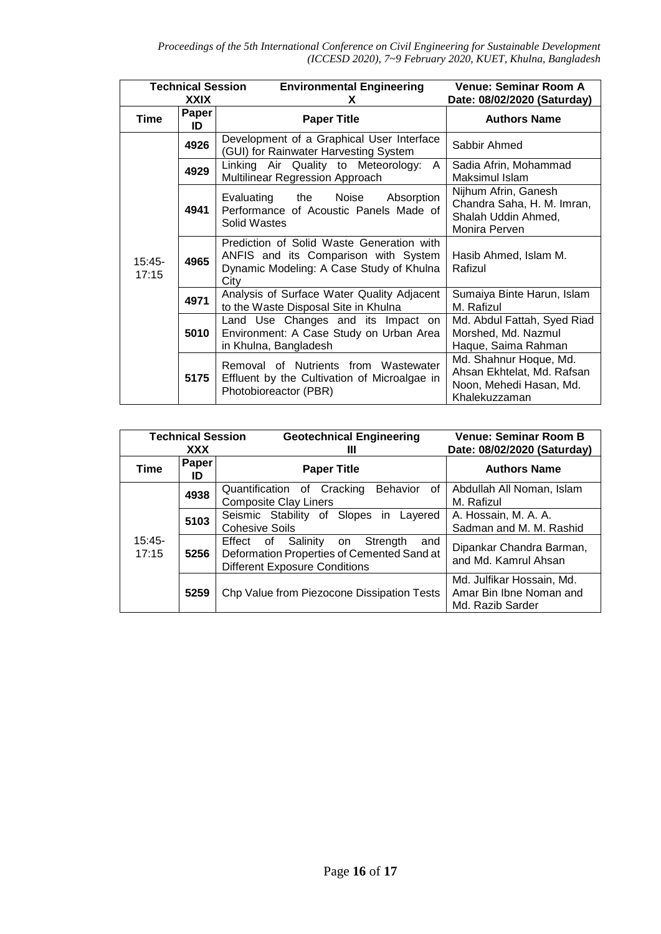| <b>Technical Session</b><br>XXIX |             | <b>Environmental Engineering</b><br>X.                                                                                                | Venue: Seminar Room A<br>Date: 08/02/2020 (Saturday)                                             |
|----------------------------------|-------------|---------------------------------------------------------------------------------------------------------------------------------------|--------------------------------------------------------------------------------------------------|
| Time                             | Paper<br>ID | <b>Paper Title</b>                                                                                                                    | <b>Authors Name</b>                                                                              |
|                                  | 4926        | Development of a Graphical User Interface<br>(GUI) for Rainwater Harvesting System                                                    | Sabbir Ahmed                                                                                     |
|                                  | 4929        | Linking Air Quality to Meteorology:<br>A<br>Multilinear Regression Approach                                                           | Sadia Afrin, Mohammad<br>Maksimul Islam                                                          |
| $15:45-$<br>17:15                | 4941        | Absorption<br>Evaluating<br>the<br>Noise<br>Performance of Acoustic Panels Made of<br>Solid Wastes                                    | Nijhum Afrin, Ganesh<br>Chandra Saha, H. M. Imran,<br>Shalah Uddin Ahmed,<br>Monira Perven       |
|                                  | 4965        | Prediction of Solid Waste Generation with<br>ANFIS and its Comparison with System<br>Dynamic Modeling: A Case Study of Khulna<br>City | Hasib Ahmed, Islam M.<br>Rafizul                                                                 |
|                                  | 4971        | Analysis of Surface Water Quality Adjacent<br>to the Waste Disposal Site in Khulna                                                    | Sumaiya Binte Harun, Islam<br>M. Rafizul                                                         |
|                                  | 5010        | Land Use Changes and its Impact on<br>Environment: A Case Study on Urban Area<br>in Khulna, Bangladesh                                | Md. Abdul Fattah, Syed Riad<br>Morshed, Md. Nazmul<br>Haque, Saima Rahman                        |
|                                  | 5175        | Removal of Nutrients from Wastewater<br>Effluent by the Cultivation of Microalgae in<br>Photobioreactor (PBR)                         | Md. Shahnur Hoque, Md.<br>Ahsan Ekhtelat, Md. Rafsan<br>Noon, Mehedi Hasan, Md.<br>Khalekuzzaman |

| <b>Technical Session</b><br>XXX |             | <b>Geotechnical Engineering</b><br>Ш                                                                                                    | <b>Venue: Seminar Room B</b><br>Date: 08/02/2020 (Saturday)              |
|---------------------------------|-------------|-----------------------------------------------------------------------------------------------------------------------------------------|--------------------------------------------------------------------------|
| Time                            | Paper<br>ID | <b>Paper Title</b>                                                                                                                      | <b>Authors Name</b>                                                      |
| $15:45-$<br>17:15               | 4938        | <b>Behavior</b><br>Quantification of Cracking<br>0f<br><b>Composite Clay Liners</b>                                                     | Abdullah All Noman, Islam<br>M. Rafizul                                  |
|                                 | 5103        | Seismic Stability of Slopes in Layered<br><b>Cohesive Soils</b>                                                                         | A. Hossain, M. A. A.<br>Sadman and M. M. Rashid                          |
|                                 | 5256        | Effect<br>Salinity<br>Strength<br>of<br>on<br>and<br>Deformation Properties of Cemented Sand at<br><b>Different Exposure Conditions</b> | Dipankar Chandra Barman,<br>and Md. Kamrul Ahsan                         |
|                                 | 5259        | Chp Value from Piezocone Dissipation Tests                                                                                              | Md. Julfikar Hossain, Md.<br>Amar Bin Ibne Noman and<br>Md. Razib Sarder |